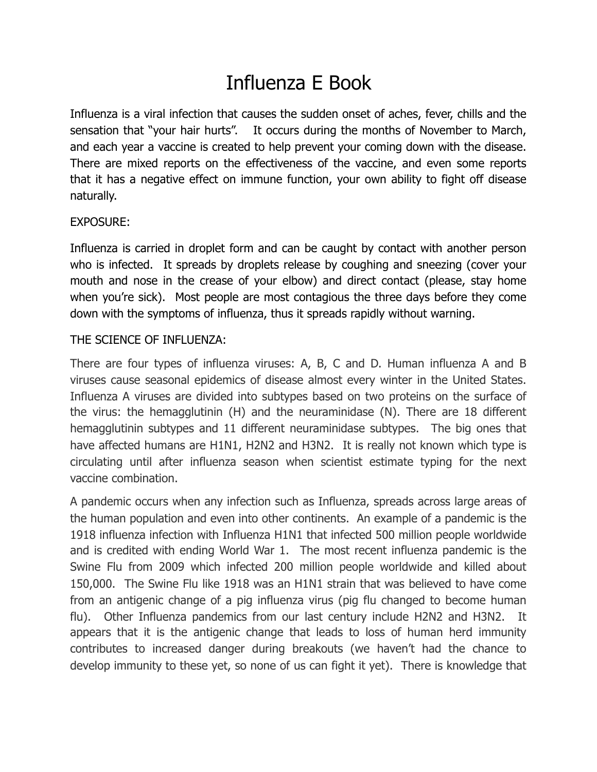# Influenza E Book

Influenza is a viral infection that causes the sudden onset of aches, fever, chills and the sensation that "your hair hurts". It occurs during the months of November to March, and each year a vaccine is created to help prevent your coming down with the disease. There are mixed reports on the effectiveness of the vaccine, and even some reports that it has a negative effect on immune function, your own ability to fight off disease naturally.

# EXPOSURE:

Influenza is carried in droplet form and can be caught by contact with another person who is infected. It spreads by droplets release by coughing and sneezing (cover your mouth and nose in the crease of your elbow) and direct contact (please, stay home when you're sick). Most people are most contagious the three days before they come down with the symptoms of influenza, thus it spreads rapidly without warning.

# THE SCIENCE OF INFLUENZA:

There are four types of influenza viruses: A, B, C and D. Human influenza A and B viruses cause seasonal epidemics of disease almost every winter in the United States. Influenza A viruses are divided into subtypes based on two proteins on the surface of the virus: the hemagglutinin (H) and the neuraminidase (N). There are 18 different hemagglutinin subtypes and 11 different neuraminidase subtypes. The big ones that have affected humans are H1N1, H2N2 and H3N2. It is really not known which type is circulating until after influenza season when scientist estimate typing for the next vaccine combination.

A pandemic occurs when any infection such as Influenza, spreads across large areas of the human population and even into other continents. An example of a pandemic is the 1918 influenza infection with Influenza H1N1 that infected 500 million people worldwide and is credited with ending World War 1. The most recent influenza pandemic is the Swine Flu from 2009 which infected 200 million people worldwide and killed about 150,000. The Swine Flu like 1918 was an H1N1 strain that was believed to have come from an antigenic change of a pig influenza virus (pig flu changed to become human flu). Other Influenza pandemics from our last century include H2N2 and H3N2. It appears that it is the antigenic change that leads to loss of human herd immunity contributes to increased danger during breakouts (we haven't had the chance to develop immunity to these yet, so none of us can fight it yet). There is knowledge that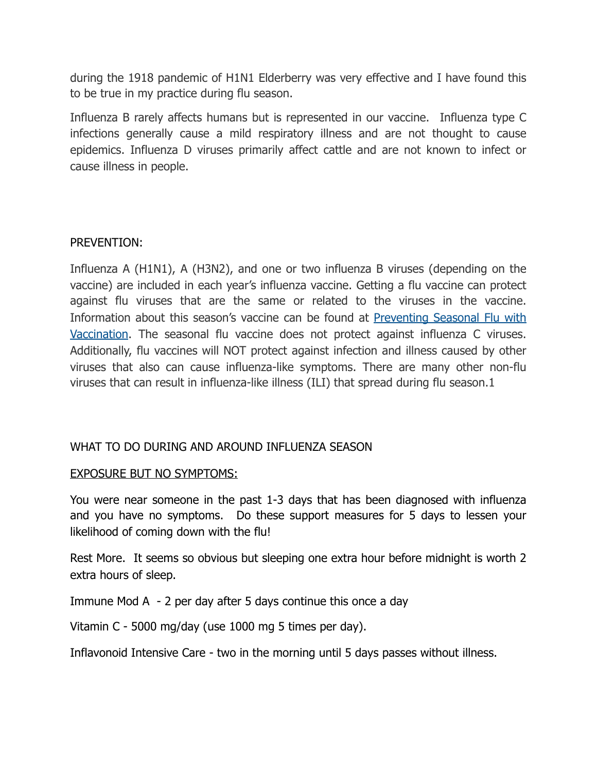during the 1918 pandemic of H1N1 Elderberry was very effective and I have found this to be true in my practice during flu season.

Influenza B rarely affects humans but is represented in our vaccine. Influenza type C infections generally cause a mild respiratory illness and are not thought to cause epidemics. Influenza D viruses primarily affect cattle and are not known to infect or cause illness in people.

### PREVENTION:

Influenza A (H1N1), A (H3N2), and one or two influenza B viruses (depending on the vaccine) are included in each year's influenza vaccine. Getting a flu vaccine can protect against flu viruses that are the same or related to the viruses in the vaccine. Information about this season's vaccine can be found at [Preventing Seasonal Flu with](https://www.cdc.gov/flu/protect/vaccine/index.htm) [Vaccination.](https://www.cdc.gov/flu/protect/vaccine/index.htm) The seasonal flu vaccine does not protect against influenza C viruses. Additionally, flu vaccines will NOT protect against infection and illness caused by other viruses that also can cause influenza-like symptoms. There are many other non-flu viruses that can result in influenza-like illness (ILI) that spread during flu season.1

### WHAT TO DO DURING AND AROUND INFLUENZA SEASON

### EXPOSURE BUT NO SYMPTOMS:

You were near someone in the past 1-3 days that has been diagnosed with influenza and you have no symptoms. Do these support measures for 5 days to lessen your likelihood of coming down with the flu!

Rest More. It seems so obvious but sleeping one extra hour before midnight is worth 2 extra hours of sleep.

Immune Mod A - 2 per day after 5 days continue this once a day

Vitamin C - 5000 mg/day (use 1000 mg 5 times per day).

Inflavonoid Intensive Care - two in the morning until 5 days passes without illness.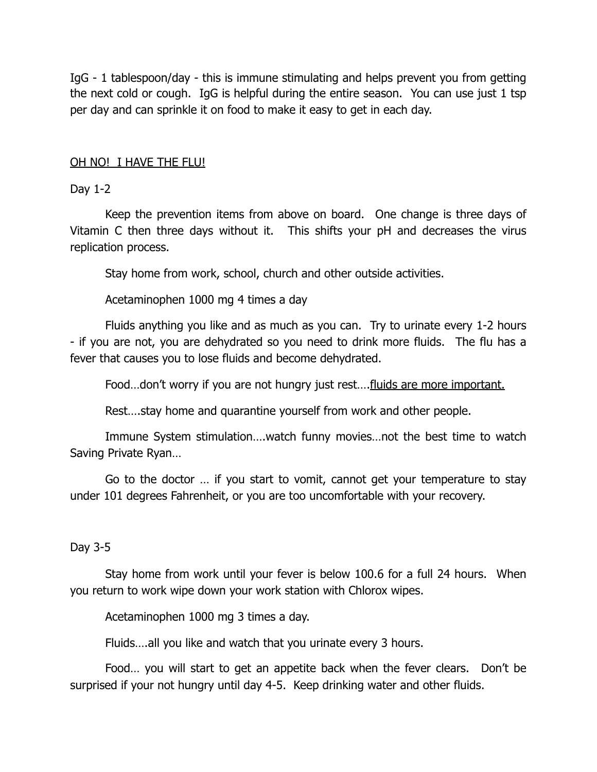IgG - 1 tablespoon/day - this is immune stimulating and helps prevent you from getting the next cold or cough. IgG is helpful during the entire season. You can use just 1 tsp per day and can sprinkle it on food to make it easy to get in each day.

#### OH NO! I HAVE THE FLU!

#### Day 1-2

 Keep the prevention items from above on board. One change is three days of Vitamin C then three days without it. This shifts your pH and decreases the virus replication process.

Stay home from work, school, church and other outside activities.

Acetaminophen 1000 mg 4 times a day

 Fluids anything you like and as much as you can. Try to urinate every 1-2 hours - if you are not, you are dehydrated so you need to drink more fluids. The flu has a fever that causes you to lose fluids and become dehydrated.

Food...don't worry if you are not hungry just rest....fluids are more important.

Rest….stay home and quarantine yourself from work and other people.

 Immune System stimulation….watch funny movies…not the best time to watch Saving Private Ryan…

 Go to the doctor … if you start to vomit, cannot get your temperature to stay under 101 degrees Fahrenheit, or you are too uncomfortable with your recovery.

# Day 3-5

 Stay home from work until your fever is below 100.6 for a full 24 hours. When you return to work wipe down your work station with Chlorox wipes.

Acetaminophen 1000 mg 3 times a day.

Fluids….all you like and watch that you urinate every 3 hours.

 Food… you will start to get an appetite back when the fever clears. Don't be surprised if your not hungry until day 4-5. Keep drinking water and other fluids.